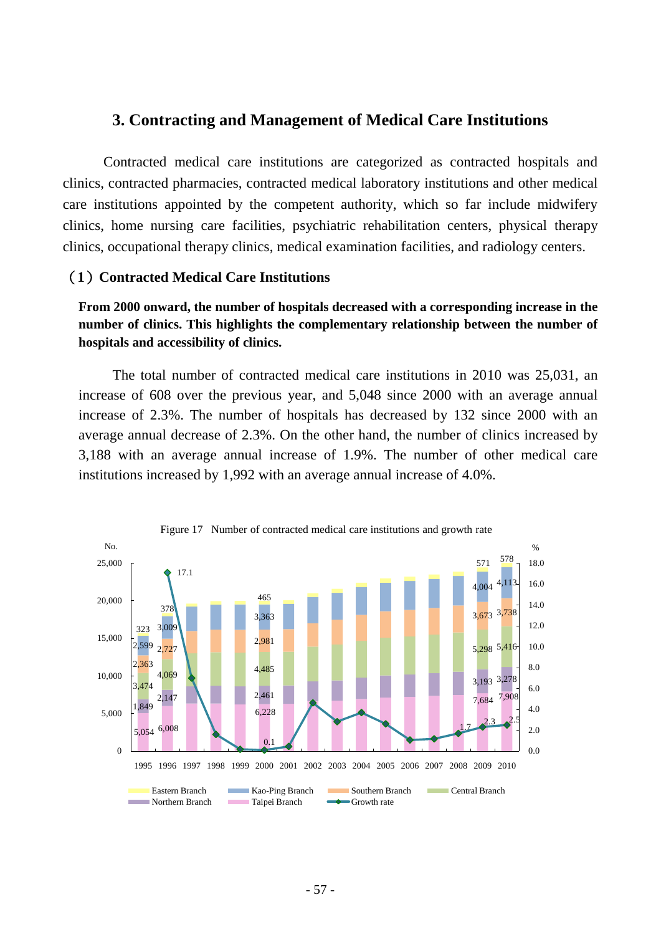## **3. Contracting and Management of Medical Care Institutions**

Contracted medical care institutions are categorized as contracted hospitals and clinics, contracted pharmacies, contracted medical laboratory institutions and other medical care institutions appointed by the competent authority, which so far include midwifery clinics, home nursing care facilities, psychiatric rehabilitation centers, physical therapy clinics, occupational therapy clinics, medical examination facilities, and radiology centers.

## (**1**)**Contracted Medical Care Institutions**

**From 2000 onward, the number of hospitals decreased with a corresponding increase in the number of clinics. This highlights the complementary relationship between the number of hospitals and accessibility of clinics.**

The total number of contracted medical care institutions in 2010 was 25,031, an increase of 608 over the previous year, and 5,048 since 2000 with an average annual increase of 2.3%. The number of hospitals has decreased by 132 since 2000 with an average annual decrease of 2.3%. On the other hand, the number of clinics increased by 3,188 with an average annual increase of 1.9%. The number of other medical care institutions increased by 1,992 with an average annual increase of 4.0%.

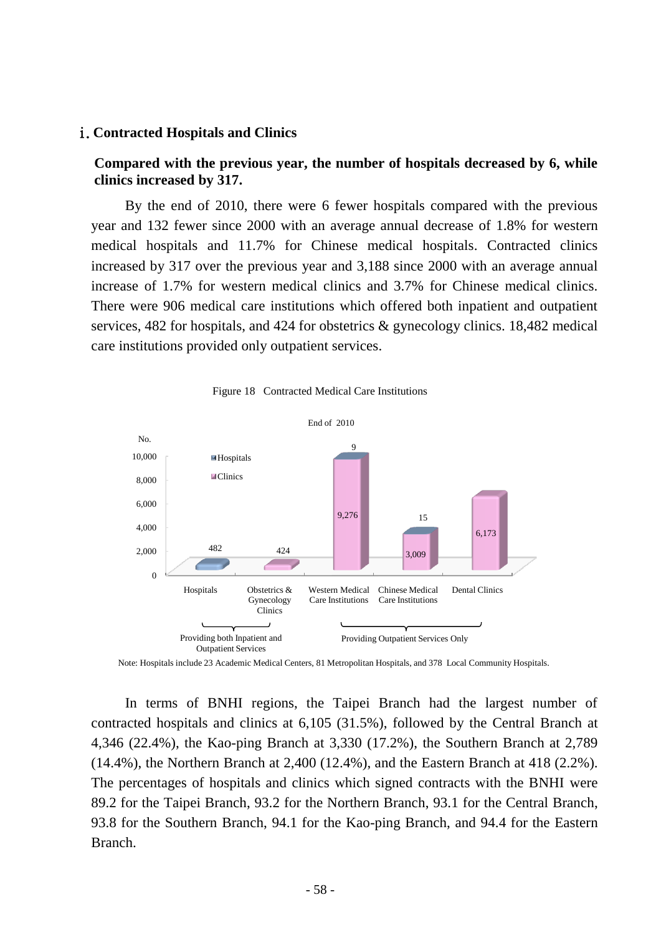### i.**Contracted Hospitals and Clinics**

## **Compared with the previous year, the number of hospitals decreased by 6, while clinics increased by 317.**

By the end of 2010, there were 6 fewer hospitals compared with the previous year and 132 fewer since 2000 with an average annual decrease of 1.8% for western medical hospitals and 11.7% for Chinese medical hospitals. Contracted clinics increased by 317 over the previous year and 3,188 since 2000 with an average annual increase of 1.7% for western medical clinics and 3.7% for Chinese medical clinics. There were 906 medical care institutions which offered both inpatient and outpatient services, 482 for hospitals, and 424 for obstetrics & gynecology clinics. 18,482 medical care institutions provided only outpatient services.



Figure 18 Contracted Medical Care Institutions

Note: Hospitals include 23 Academic Medical Centers, 81 Metropolitan Hospitals, and 378 Local Community Hospitals.

In terms of BNHI regions, the Taipei Branch had the largest number of contracted hospitals and clinics at 6,105 (31.5%), followed by the Central Branch at 4,346 (22.4%), the Kao-ping Branch at 3,330 (17.2%), the Southern Branch at 2,789 (14.4%), the Northern Branch at 2,400 (12.4%), and the Eastern Branch at 418 (2.2%). The percentages of hospitals and clinics which signed contracts with the BNHI were 89.2 for the Taipei Branch, 93.2 for the Northern Branch, 93.1 for the Central Branch, 93.8 for the Southern Branch, 94.1 for the Kao-ping Branch, and 94.4 for the Eastern Branch.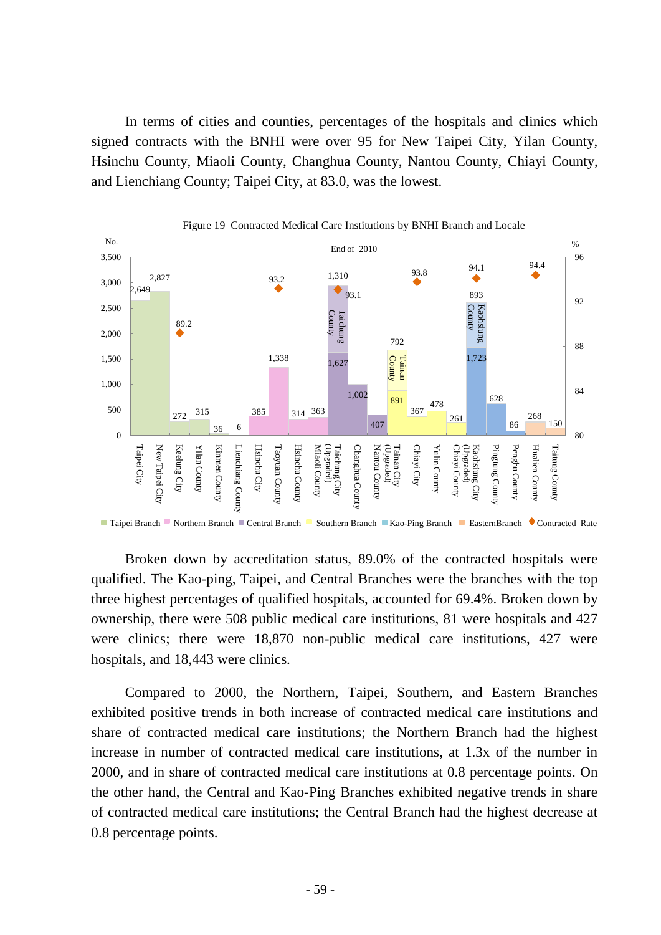In terms of cities and counties, percentages of the hospitals and clinics which signed contracts with the BNHI were over 95 for New Taipei City, Yilan County, Hsinchu County, Miaoli County, Changhua County, Nantou County, Chiayi County, and Lienchiang County; Taipei City, at 83.0, was the lowest.



Broken down by accreditation status, 89.0% of the contracted hospitals were qualified. The Kao-ping, Taipei, and Central Branches were the branches with the top three highest percentages of qualified hospitals, accounted for 69.4%. Broken down by ownership, there were 508 public medical care institutions, 81 were hospitals and 427 were clinics; there were 18,870 non-public medical care institutions, 427 were hospitals, and 18,443 were clinics.

Compared to 2000, the Northern, Taipei, Southern, and Eastern Branches exhibited positive trends in both increase of contracted medical care institutions and share of contracted medical care institutions; the Northern Branch had the highest increase in number of contracted medical care institutions, at 1.3x of the number in 2000, and in share of contracted medical care institutions at 0.8 percentage points. On the other hand, the Central and Kao-Ping Branches exhibited negative trends in share of contracted medical care institutions; the Central Branch had the highest decrease at 0.8 percentage points.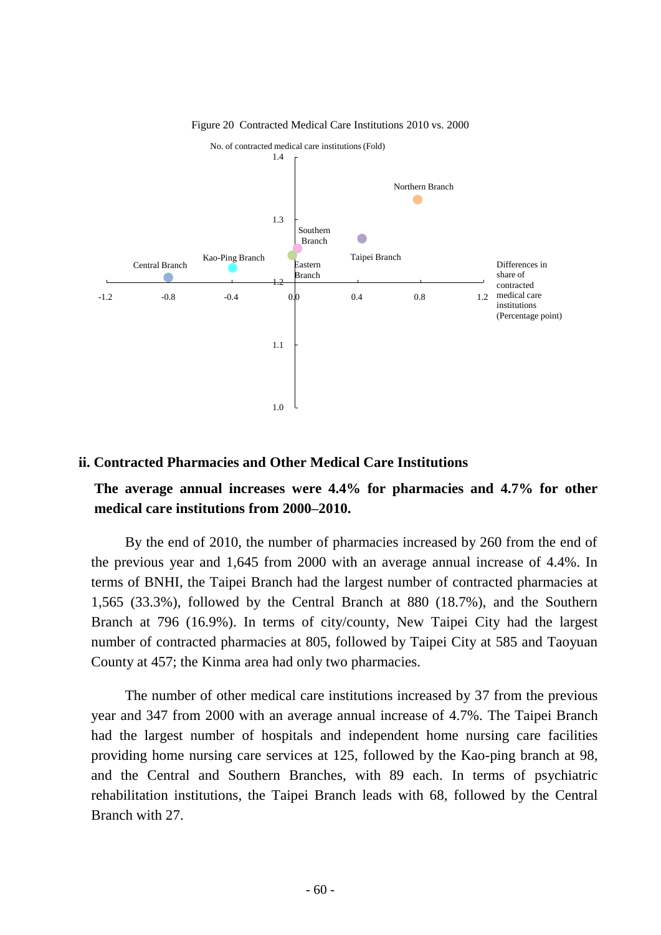

Figure 20 Contracted Medical Care Institutions 2010 vs. 2000

### **ii. Contracted Pharmacies and Other Medical Care Institutions**

## **The average annual increases were 4.4% for pharmacies and 4.7% for other medical care institutions from 2000–2010.**

By the end of 2010, the number of pharmacies increased by 260 from the end of the previous year and 1,645 from 2000 with an average annual increase of 4.4%. In terms of BNHI, the Taipei Branch had the largest number of contracted pharmacies at 1,565 (33.3%), followed by the Central Branch at 880 (18.7%), and the Southern Branch at 796 (16.9%). In terms of city/county, New Taipei City had the largest number of contracted pharmacies at 805, followed by Taipei City at 585 and Taoyuan County at 457; the Kinma area had only two pharmacies.

The number of other medical care institutions increased by 37 from the previous year and 347 from 2000 with an average annual increase of 4.7%. The Taipei Branch had the largest number of hospitals and independent home nursing care facilities providing home nursing care services at 125, followed by the Kao-ping branch at 98, and the Central and Southern Branches, with 89 each. In terms of psychiatric rehabilitation institutions, the Taipei Branch leads with 68, followed by the Central Branch with 27.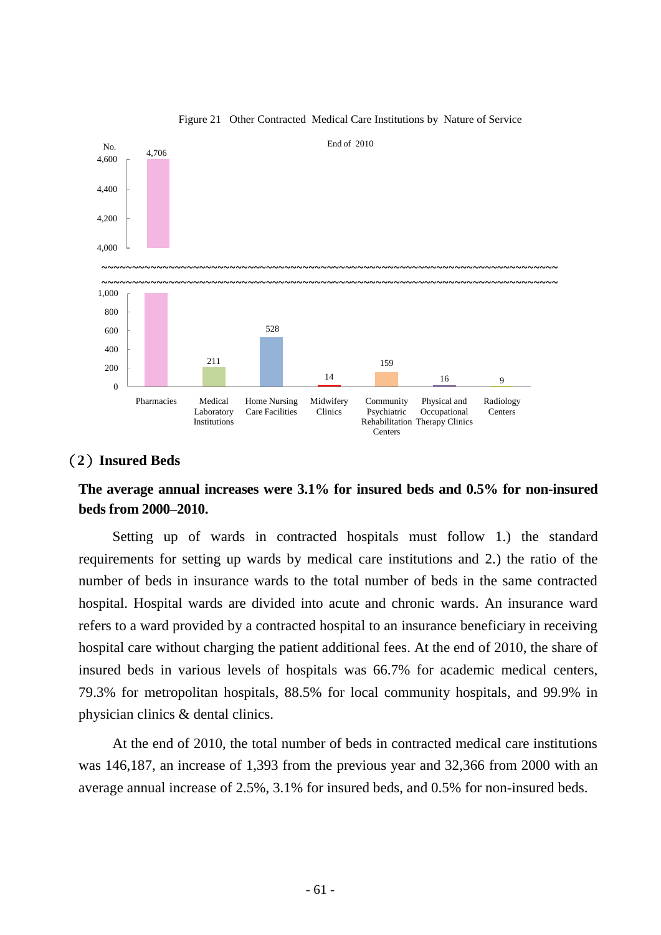

#### Figure 21 Other Contracted Medical Care Institutions by Nature of Service

### (**2**)**Insured Beds**

## **The average annual increases were 3.1% for insured beds and 0.5% for non-insured beds from 2000–2010.**

Setting up of wards in contracted hospitals must follow 1.) the standard requirements for setting up wards by medical care institutions and 2.) the ratio of the number of beds in insurance wards to the total number of beds in the same contracted hospital. Hospital wards are divided into acute and chronic wards. An insurance ward refers to a ward provided by a contracted hospital to an insurance beneficiary in receiving hospital care without charging the patient additional fees. At the end of 2010, the share of insured beds in various levels of hospitals was 66.7% for academic medical centers, 79.3% for metropolitan hospitals, 88.5% for local community hospitals, and 99.9% in physician clinics & dental clinics.

At the end of 2010, the total number of beds in contracted medical care institutions was 146,187, an increase of 1,393 from the previous year and 32,366 from 2000 with an average annual increase of 2.5%, 3.1% for insured beds, and 0.5% for non-insured beds.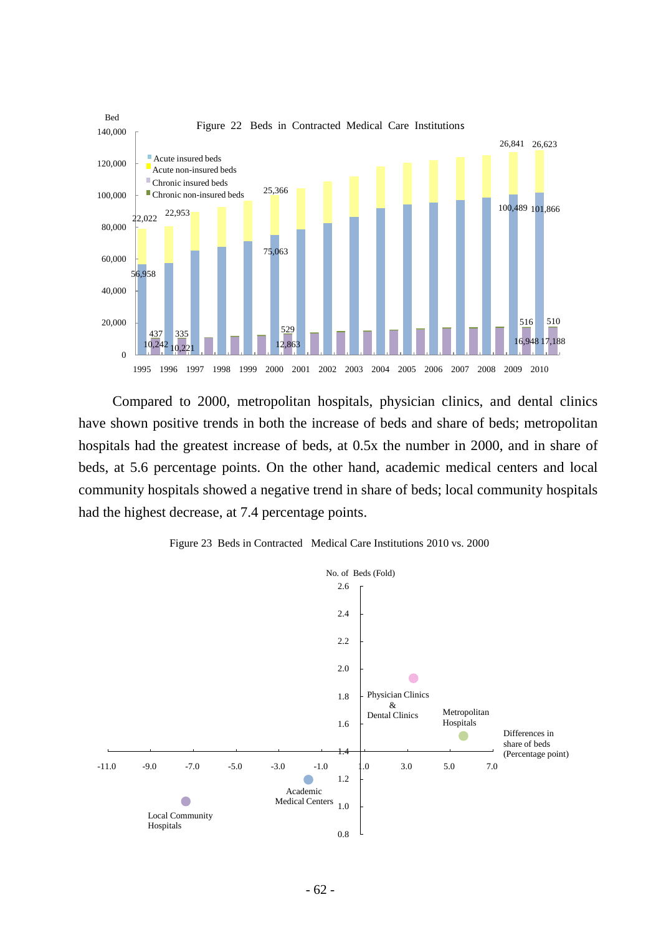

Compared to 2000, metropolitan hospitals, physician clinics, and dental clinics have shown positive trends in both the increase of beds and share of beds; metropolitan hospitals had the greatest increase of beds, at 0.5x the number in 2000, and in share of beds, at 5.6 percentage points. On the other hand, academic medical centers and local community hospitals showed a negative trend in share of beds; local community hospitals had the highest decrease, at 7.4 percentage points.



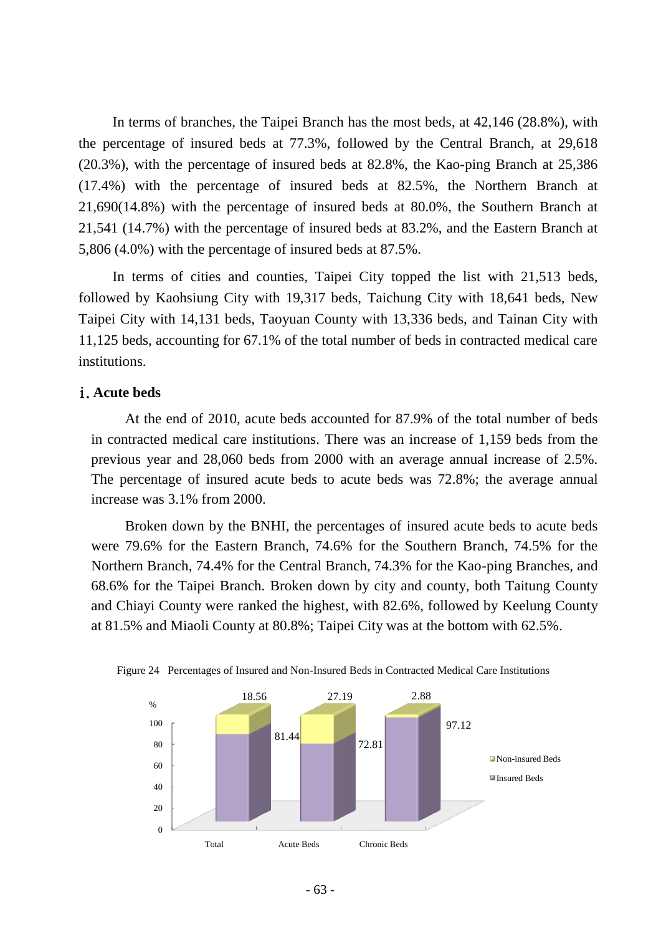In terms of branches, the Taipei Branch has the most beds, at 42,146 (28.8%), with the percentage of insured beds at 77.3%, followed by the Central Branch, at 29,618 (20.3%), with the percentage of insured beds at 82.8%, the Kao-ping Branch at 25,386 (17.4%) with the percentage of insured beds at 82.5%, the Northern Branch at 21,690(14.8%) with the percentage of insured beds at 80.0%, the Southern Branch at 21,541 (14.7%) with the percentage of insured beds at 83.2%, and the Eastern Branch at 5,806 (4.0%) with the percentage of insured beds at 87.5%.

In terms of cities and counties, Taipei City topped the list with 21,513 beds, followed by Kaohsiung City with 19,317 beds, Taichung City with 18,641 beds, New Taipei City with 14,131 beds, Taoyuan County with 13,336 beds, and Tainan City with 11,125 beds, accounting for 67.1% of the total number of beds in contracted medical care institutions.

### i.**Acute beds**

At the end of 2010, acute beds accounted for 87.9% of the total number of beds in contracted medical care institutions. There was an increase of 1,159 beds from the previous year and 28,060 beds from 2000 with an average annual increase of 2.5%. The percentage of insured acute beds to acute beds was 72.8%; the average annual increase was 3.1% from 2000.

Broken down by the BNHI, the percentages of insured acute beds to acute beds were 79.6% for the Eastern Branch, 74.6% for the Southern Branch, 74.5% for the Northern Branch, 74.4% for the Central Branch, 74.3% for the Kao-ping Branches, and 68.6% for the Taipei Branch. Broken down by city and county, both Taitung County and Chiayi County were ranked the highest, with 82.6%, followed by Keelung County at 81.5% and Miaoli County at 80.8%; Taipei City was at the bottom with 62.5%.



Figure 24 Percentages of Insured and Non-Insured Beds in Contracted Medical Care Institutions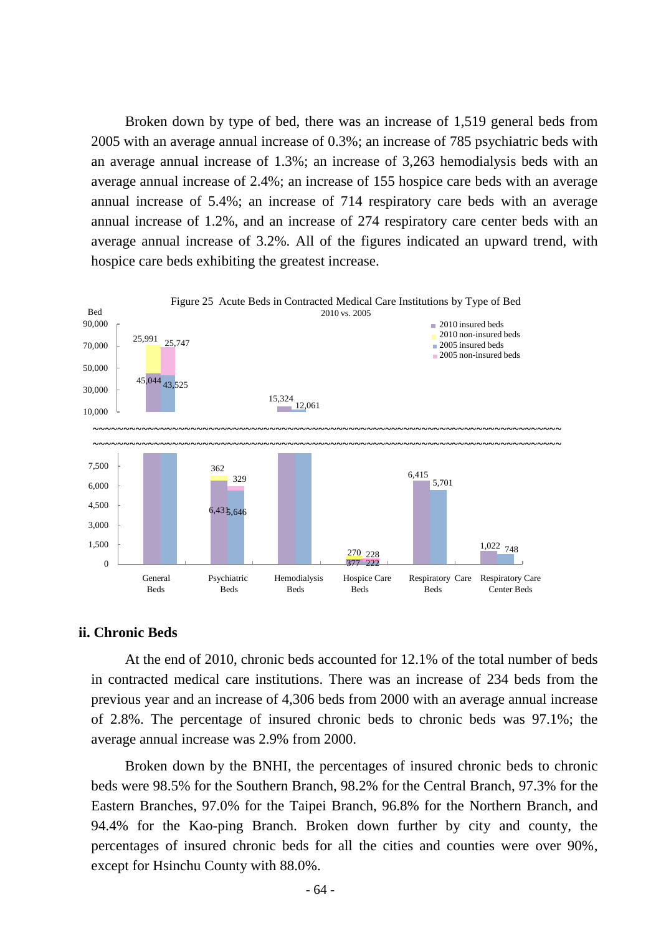Broken down by type of bed, there was an increase of 1,519 general beds from 2005 with an average annual increase of 0.3%; an increase of 785 psychiatric beds with an average annual increase of 1.3%; an increase of 3,263 hemodialysis beds with an average annual increase of 2.4%; an increase of 155 hospice care beds with an average annual increase of 5.4%; an increase of 714 respiratory care beds with an average annual increase of 1.2%, and an increase of 274 respiratory care center beds with an average annual increase of 3.2%. All of the figures indicated an upward trend, with hospice care beds exhibiting the greatest increase.



### **ii. Chronic Beds**

At the end of 2010, chronic beds accounted for 12.1% of the total number of beds in contracted medical care institutions. There was an increase of 234 beds from the previous year and an increase of 4,306 beds from 2000 with an average annual increase of 2.8%. The percentage of insured chronic beds to chronic beds was 97.1%; the average annual increase was 2.9% from 2000.

Broken down by the BNHI, the percentages of insured chronic beds to chronic beds were 98.5% for the Southern Branch, 98.2% for the Central Branch, 97.3% for the Eastern Branches, 97.0% for the Taipei Branch, 96.8% for the Northern Branch, and 94.4% for the Kao-ping Branch. Broken down further by city and county, the percentages of insured chronic beds for all the cities and counties were over 90%, except for Hsinchu County with 88.0%.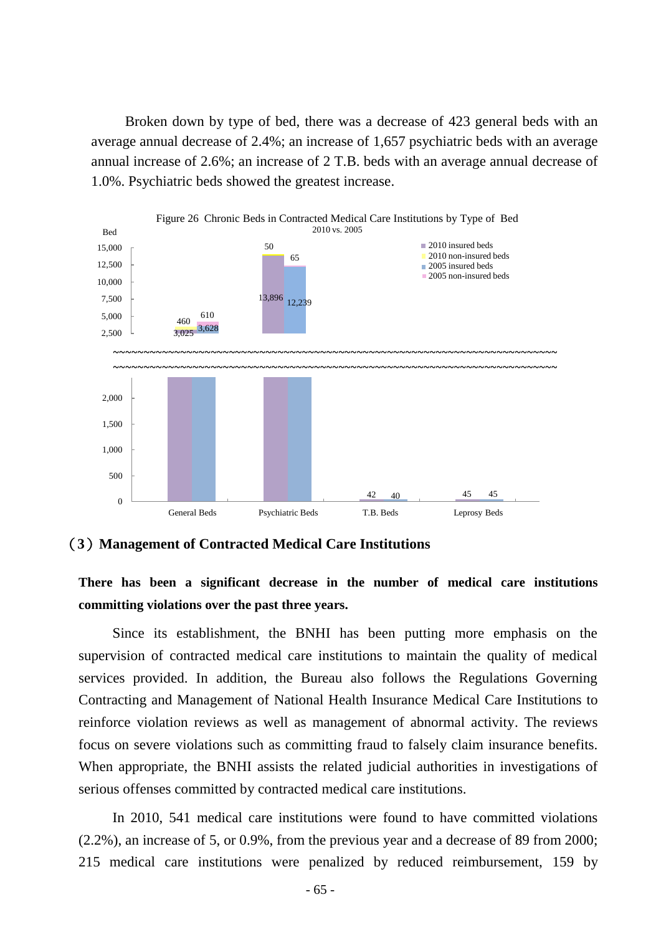Broken down by type of bed, there was a decrease of 423 general beds with an average annual decrease of 2.4%; an increase of 1,657 psychiatric beds with an average annual increase of 2.6%; an increase of 2 T.B. beds with an average annual decrease of 1.0%. Psychiatric beds showed the greatest increase.



(**3**)**Management of Contracted Medical Care Institutions**

**There has been a significant decrease in the number of medical care institutions committing violations over the past three years.**

Since its establishment, the BNHI has been putting more emphasis on the supervision of contracted medical care institutions to maintain the quality of medical services provided. In addition, the Bureau also follows the Regulations Governing Contracting and Management of National Health Insurance Medical Care Institutions to reinforce violation reviews as well as management of abnormal activity. The reviews focus on severe violations such as committing fraud to falsely claim insurance benefits. When appropriate, the BNHI assists the related judicial authorities in investigations of serious offenses committed by contracted medical care institutions.

In 2010, 541 medical care institutions were found to have committed violations (2.2%), an increase of 5, or 0.9%, from the previous year and a decrease of 89 from 2000; 215 medical care institutions were penalized by reduced reimbursement, 159 by